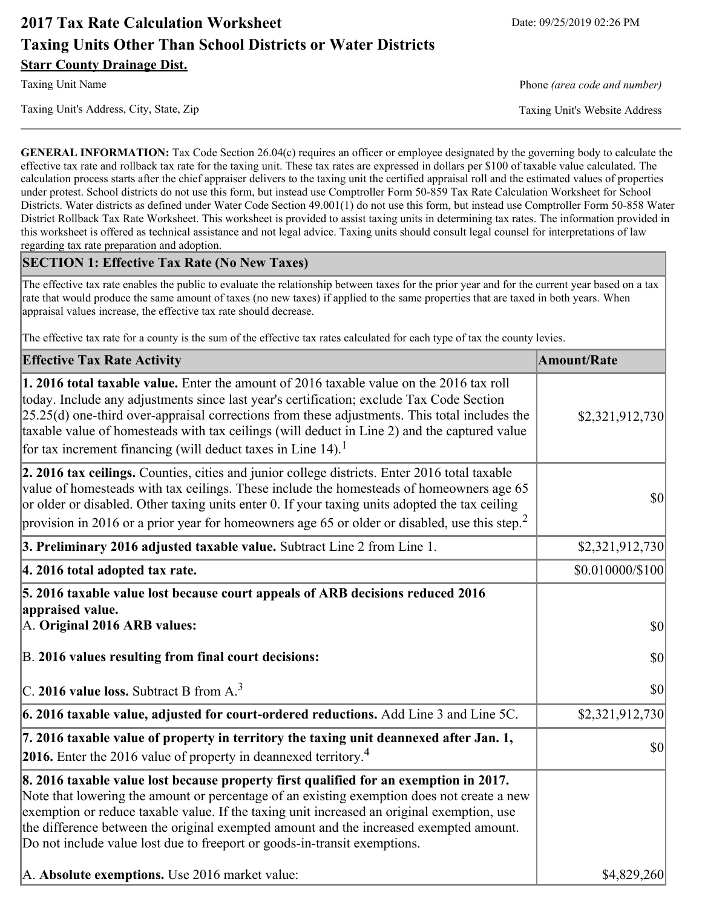# **2017 Tax Rate Calculation Worksheet** Date: 09/25/2019 02:26 PM **Taxing Units Other Than School Districts or Water Districts Starr County Drainage Dist.**

Taxing Unit's Address, City, State, Zip Taxing Unit's Website Address

Taxing Unit Name **Phone** *(area code and number)* Phone *(area code and number)* 

**GENERAL INFORMATION:** Tax Code Section 26.04(c) requires an officer or employee designated by the governing body to calculate the effective tax rate and rollback tax rate for the taxing unit. These tax rates are expressed in dollars per \$100 of taxable value calculated. The calculation process starts after the chief appraiser delivers to the taxing unit the certified appraisal roll and the estimated values of properties under protest. School districts do not use this form, but instead use Comptroller Form 50-859 Tax Rate Calculation Worksheet for School Districts. Water districts as defined under Water Code Section 49.001(1) do not use this form, but instead use Comptroller Form 50-858 Water District Rollback Tax Rate Worksheet. This worksheet is provided to assist taxing units in determining tax rates. The information provided in this worksheet is offered as technical assistance and not legal advice. Taxing units should consult legal counsel for interpretations of law regarding tax rate preparation and adoption.

#### **SECTION 1: Effective Tax Rate (No New Taxes)**

The effective tax rate enables the public to evaluate the relationship between taxes for the prior year and for the current year based on a tax rate that would produce the same amount of taxes (no new taxes) if applied to the same properties that are taxed in both years. When appraisal values increase, the effective tax rate should decrease.

The effective tax rate for a county is the sum of the effective tax rates calculated for each type of tax the county levies.

| <b>Effective Tax Rate Activity</b>                                                                                                                                                                                                                                                                                                                                                                                                                                      | <b>Amount/Rate</b> |
|-------------------------------------------------------------------------------------------------------------------------------------------------------------------------------------------------------------------------------------------------------------------------------------------------------------------------------------------------------------------------------------------------------------------------------------------------------------------------|--------------------|
| 1. 2016 total taxable value. Enter the amount of 2016 taxable value on the 2016 tax roll<br>today. Include any adjustments since last year's certification; exclude Tax Code Section<br>$[25.25(d)$ one-third over-appraisal corrections from these adjustments. This total includes the<br>taxable value of homesteads with tax ceilings (will deduct in Line 2) and the captured value<br>for tax increment financing (will deduct taxes in Line $14$ ). <sup>1</sup> | \$2,321,912,730    |
| 2. 2016 tax ceilings. Counties, cities and junior college districts. Enter 2016 total taxable<br>value of homesteads with tax ceilings. These include the homesteads of homeowners age 65<br>or older or disabled. Other taxing units enter 0. If your taxing units adopted the tax ceiling<br>provision in 2016 or a prior year for homeowners age 65 or older or disabled, use this step. <sup>2</sup>                                                                | \$0                |
| 3. Preliminary 2016 adjusted taxable value. Subtract Line 2 from Line 1.                                                                                                                                                                                                                                                                                                                                                                                                | \$2,321,912,730    |
| 4. 2016 total adopted tax rate.                                                                                                                                                                                                                                                                                                                                                                                                                                         | \$0.010000/\$100   |
| 5. 2016 taxable value lost because court appeals of ARB decisions reduced 2016<br>appraised value.<br>A. Original 2016 ARB values:                                                                                                                                                                                                                                                                                                                                      | <b>\$0</b>         |
| B. 2016 values resulting from final court decisions:                                                                                                                                                                                                                                                                                                                                                                                                                    | \$0                |
| C. 2016 value loss. Subtract B from $A3$                                                                                                                                                                                                                                                                                                                                                                                                                                | \$0                |
| 6. 2016 taxable value, adjusted for court-ordered reductions. Add Line 3 and Line 5C.                                                                                                                                                                                                                                                                                                                                                                                   | \$2,321,912,730    |
| 7. 2016 taxable value of property in territory the taxing unit deannexed after Jan. 1,<br><b>2016.</b> Enter the 2016 value of property in deannexed territory. <sup>4</sup>                                                                                                                                                                                                                                                                                            | \$0                |
| 8. 2016 taxable value lost because property first qualified for an exemption in 2017.<br>Note that lowering the amount or percentage of an existing exemption does not create a new<br>exemption or reduce taxable value. If the taxing unit increased an original exemption, use<br>the difference between the original exempted amount and the increased exempted amount.<br>Do not include value lost due to freeport or goods-in-transit exemptions.                |                    |
| A. Absolute exemptions. Use 2016 market value:                                                                                                                                                                                                                                                                                                                                                                                                                          | \$4,829,260        |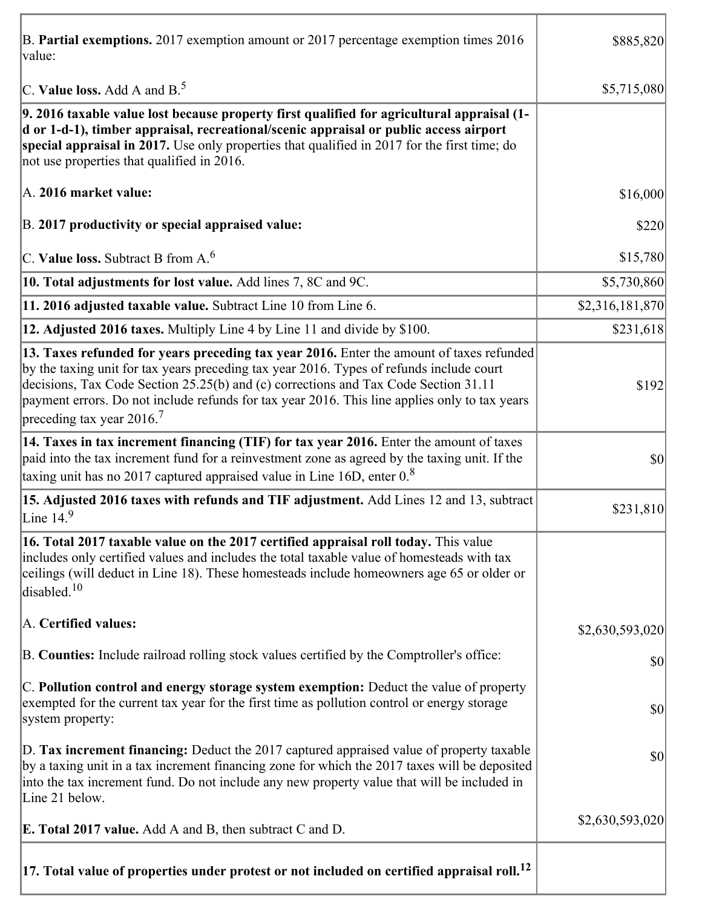| B. Partial exemptions. 2017 exemption amount or 2017 percentage exemption times 2016<br>value:                                                                                                                                                                                                                                                                                                                        | \$885,820       |
|-----------------------------------------------------------------------------------------------------------------------------------------------------------------------------------------------------------------------------------------------------------------------------------------------------------------------------------------------------------------------------------------------------------------------|-----------------|
| C. Value loss. Add A and $B^5$                                                                                                                                                                                                                                                                                                                                                                                        | \$5,715,080     |
| 9. 2016 taxable value lost because property first qualified for agricultural appraisal (1-<br>d or 1-d-1), timber appraisal, recreational/scenic appraisal or public access airport<br>special appraisal in 2017. Use only properties that qualified in 2017 for the first time; do<br>not use properties that qualified in 2016.                                                                                     |                 |
| A. 2016 market value:                                                                                                                                                                                                                                                                                                                                                                                                 | \$16,000        |
| B. 2017 productivity or special appraised value:                                                                                                                                                                                                                                                                                                                                                                      | \$220           |
| C. Value loss. Subtract B from $A6$                                                                                                                                                                                                                                                                                                                                                                                   | \$15,780        |
| 10. Total adjustments for lost value. Add lines 7, 8C and 9C.                                                                                                                                                                                                                                                                                                                                                         | \$5,730,860     |
| 11. 2016 adjusted taxable value. Subtract Line 10 from Line 6.                                                                                                                                                                                                                                                                                                                                                        | \$2,316,181,870 |
| 12. Adjusted 2016 taxes. Multiply Line 4 by Line 11 and divide by \$100.                                                                                                                                                                                                                                                                                                                                              | \$231,618       |
| 13. Taxes refunded for years preceding tax year 2016. Enter the amount of taxes refunded<br>by the taxing unit for tax years preceding tax year 2016. Types of refunds include court<br>decisions, Tax Code Section 25.25(b) and (c) corrections and Tax Code Section 31.11<br>payment errors. Do not include refunds for tax year 2016. This line applies only to tax years<br>preceding tax year 2016. <sup>7</sup> | \$192           |
| 14. Taxes in tax increment financing (TIF) for tax year 2016. Enter the amount of taxes<br>paid into the tax increment fund for a reinvestment zone as agreed by the taxing unit. If the<br>taxing unit has no 2017 captured appraised value in Line 16D, enter $08$                                                                                                                                                  | \$0             |
| 15. Adjusted 2016 taxes with refunds and TIF adjustment. Add Lines 12 and 13, subtract<br>Line $149$                                                                                                                                                                                                                                                                                                                  | \$231,810       |
| 16. Total 2017 taxable value on the 2017 certified appraisal roll today. This value<br>includes only certified values and includes the total taxable value of homesteads with tax<br>ceilings (will deduct in Line 18). These homesteads include homeowners age 65 or older or<br>disabled. <sup>10</sup>                                                                                                             |                 |
| A. Certified values:                                                                                                                                                                                                                                                                                                                                                                                                  | \$2,630,593,020 |
| B. Counties: Include railroad rolling stock values certified by the Comptroller's office:                                                                                                                                                                                                                                                                                                                             | \$0             |
| C. Pollution control and energy storage system exemption: Deduct the value of property<br>exempted for the current tax year for the first time as pollution control or energy storage<br>system property:                                                                                                                                                                                                             | \$0             |
| D. Tax increment financing: Deduct the 2017 captured appraised value of property taxable<br>by a taxing unit in a tax increment financing zone for which the 2017 taxes will be deposited<br>into the tax increment fund. Do not include any new property value that will be included in<br>Line 21 below.                                                                                                            | \$0             |
| <b>E. Total 2017 value.</b> Add A and B, then subtract C and D.                                                                                                                                                                                                                                                                                                                                                       | \$2,630,593,020 |
| $ 17$ . Total value of properties under protest or not included on certified appraisal roll. $^{12}$                                                                                                                                                                                                                                                                                                                  |                 |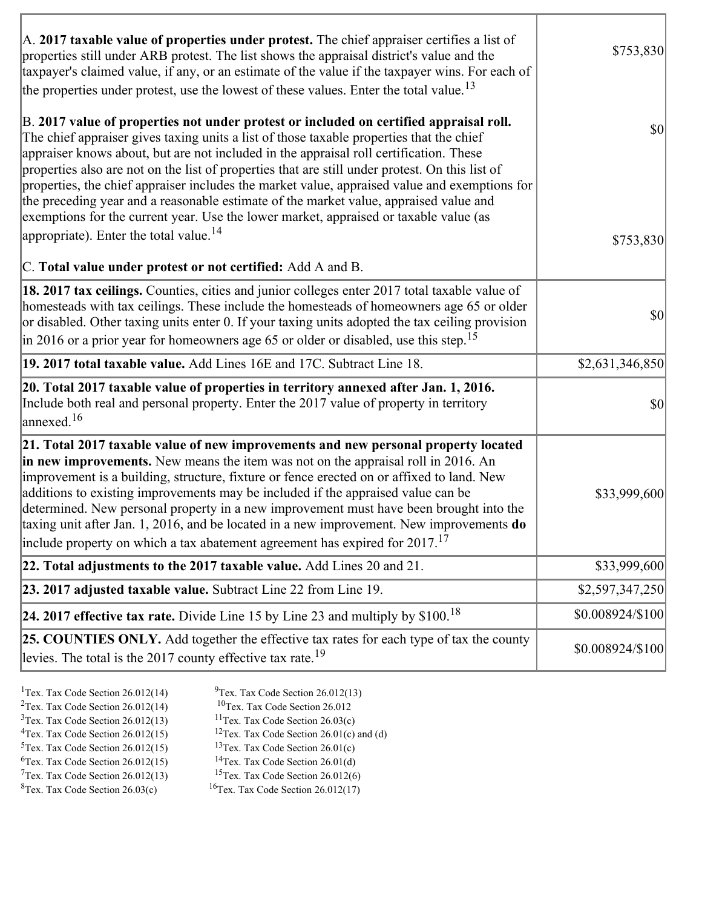| A. 2017 taxable value of properties under protest. The chief appraiser certifies a list of<br>properties still under ARB protest. The list shows the appraisal district's value and the<br>taxpayer's claimed value, if any, or an estimate of the value if the taxpayer wins. For each of<br>the properties under protest, use the lowest of these values. Enter the total value. <sup>13</sup>                                                                                                                                                                                                                                                                                                                         | \$753,830                 |
|--------------------------------------------------------------------------------------------------------------------------------------------------------------------------------------------------------------------------------------------------------------------------------------------------------------------------------------------------------------------------------------------------------------------------------------------------------------------------------------------------------------------------------------------------------------------------------------------------------------------------------------------------------------------------------------------------------------------------|---------------------------|
| B. 2017 value of properties not under protest or included on certified appraisal roll.<br>The chief appraiser gives taxing units a list of those taxable properties that the chief<br>appraiser knows about, but are not included in the appraisal roll certification. These<br>properties also are not on the list of properties that are still under protest. On this list of<br>properties, the chief appraiser includes the market value, appraised value and exemptions for<br>the preceding year and a reasonable estimate of the market value, appraised value and<br>exemptions for the current year. Use the lower market, appraised or taxable value (as<br>appropriate). Enter the total value. <sup>14</sup> | $ 10\rangle$<br>\$753,830 |
| C. Total value under protest or not certified: Add A and B.                                                                                                                                                                                                                                                                                                                                                                                                                                                                                                                                                                                                                                                              |                           |
| <b>18. 2017 tax ceilings.</b> Counties, cities and junior colleges enter 2017 total taxable value of<br>homesteads with tax ceilings. These include the homesteads of homeowners age 65 or older<br>or disabled. Other taxing units enter 0. If your taxing units adopted the tax ceiling provision<br>in 2016 or a prior year for homeowners age 65 or older or disabled, use this step. <sup>15</sup>                                                                                                                                                                                                                                                                                                                  | \$0                       |
| 19. 2017 total taxable value. Add Lines 16E and 17C. Subtract Line 18.                                                                                                                                                                                                                                                                                                                                                                                                                                                                                                                                                                                                                                                   | \$2,631,346,850           |
| 20. Total 2017 taxable value of properties in territory annexed after Jan. 1, 2016.<br>Include both real and personal property. Enter the 2017 value of property in territory<br>$\alpha$ annexed. <sup>16</sup>                                                                                                                                                                                                                                                                                                                                                                                                                                                                                                         | 30                        |
| 21. Total 2017 taxable value of new improvements and new personal property located<br>in new improvements. New means the item was not on the appraisal roll in 2016. An<br>improvement is a building, structure, fixture or fence erected on or affixed to land. New<br>additions to existing improvements may be included if the appraised value can be<br>determined. New personal property in a new improvement must have been brought into the<br>taxing unit after Jan. 1, 2016, and be located in a new improvement. New improvements do<br>include property on which a tax abatement agreement has expired for $2017$ . <sup>17</sup>                                                                             | \$33,999,600              |
| 22. Total adjustments to the 2017 taxable value. Add Lines 20 and 21.                                                                                                                                                                                                                                                                                                                                                                                                                                                                                                                                                                                                                                                    | \$33,999,600              |
| 23. 2017 adjusted taxable value. Subtract Line 22 from Line 19.                                                                                                                                                                                                                                                                                                                                                                                                                                                                                                                                                                                                                                                          | \$2,597,347,250           |
| 24. 2017 effective tax rate. Divide Line 15 by Line 23 and multiply by $$100$ . <sup>18</sup>                                                                                                                                                                                                                                                                                                                                                                                                                                                                                                                                                                                                                            | \$0.008924/\$100          |
| 25. COUNTIES ONLY. Add together the effective tax rates for each type of tax the county<br>levies. The total is the 2017 county effective tax rate. <sup>19</sup>                                                                                                                                                                                                                                                                                                                                                                                                                                                                                                                                                        | \$0.008924/\$100          |

ĭ

| <sup>1</sup> Tex. Tax Code Section $26.012(14)$ | $9$ Tex. Tax Code Section 26.012(13)                 |
|-------------------------------------------------|------------------------------------------------------|
| <sup>2</sup> Tex. Tax Code Section $26.012(14)$ | <sup>10</sup> Tex. Tax Code Section 26.012           |
| $3$ Tex. Tax Code Section 26.012(13)            | <sup>11</sup> Tex. Tax Code Section $26.03(c)$       |
| ${}^{4}$ Tex. Tax Code Section 26.012(15)       | <sup>12</sup> Tex. Tax Code Section 26.01(c) and (d) |
| $5$ Tex. Tax Code Section 26.012(15)            | <sup>13</sup> Tex. Tax Code Section $26.01(c)$       |
| ${}^{6}$ Tex. Tax Code Section 26.012(15)       | <sup>14</sup> Tex. Tax Code Section $26.01(d)$       |
| $7$ Tex. Tax Code Section 26.012(13)            | <sup>15</sup> Tex. Tax Code Section $26.012(6)$      |
|                                                 |                                                      |

 ${}^{8}$ Tex. Tax Code Section 26.03(c)  ${}^{16}$ Tex. Tax Code Section 26.012(17)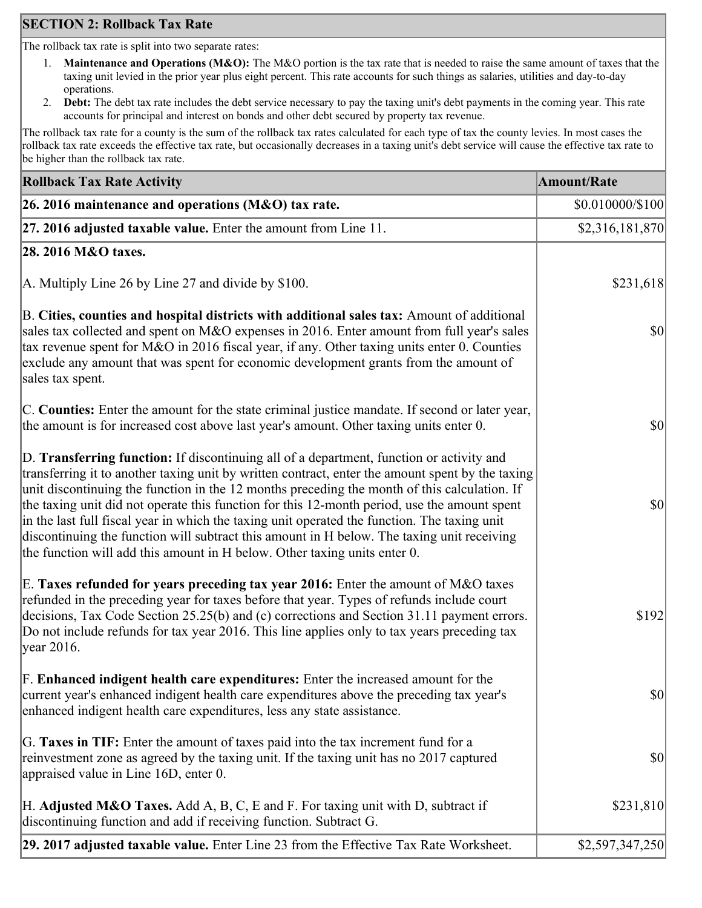## **SECTION 2: Rollback Tax Rate**

The rollback tax rate is split into two separate rates:

- 1. **Maintenance and Operations (M&O):** The M&O portion is the tax rate that is needed to raise the same amount of taxes that the taxing unit levied in the prior year plus eight percent. This rate accounts for such things as salaries, utilities and day-to-day operations.
- 2. **Debt:** The debt tax rate includes the debt service necessary to pay the taxing unit's debt payments in the coming year. This rate accounts for principal and interest on bonds and other debt secured by property tax revenue.

The rollback tax rate for a county is the sum of the rollback tax rates calculated for each type of tax the county levies. In most cases the rollback tax rate exceeds the effective tax rate, but occasionally decreases in a taxing unit's debt service will cause the effective tax rate to be higher than the rollback tax rate.

| <b>Rollback Tax Rate Activity</b>                                                                                                                                                                                                                                                                                                                                                                                                                                                                                                                                                                                                                                       | <b>Amount/Rate</b>                  |
|-------------------------------------------------------------------------------------------------------------------------------------------------------------------------------------------------------------------------------------------------------------------------------------------------------------------------------------------------------------------------------------------------------------------------------------------------------------------------------------------------------------------------------------------------------------------------------------------------------------------------------------------------------------------------|-------------------------------------|
| 26. 2016 maintenance and operations (M&O) tax rate.                                                                                                                                                                                                                                                                                                                                                                                                                                                                                                                                                                                                                     | \$0.010000/\$100                    |
| 27. 2016 adjusted taxable value. Enter the amount from Line 11.                                                                                                                                                                                                                                                                                                                                                                                                                                                                                                                                                                                                         | \$2,316,181,870                     |
| 28. 2016 M&O taxes.                                                                                                                                                                                                                                                                                                                                                                                                                                                                                                                                                                                                                                                     |                                     |
| A. Multiply Line 26 by Line 27 and divide by $$100$ .                                                                                                                                                                                                                                                                                                                                                                                                                                                                                                                                                                                                                   | \$231,618                           |
| B. Cities, counties and hospital districts with additional sales tax: Amount of additional<br>sales tax collected and spent on M&O expenses in 2016. Enter amount from full year's sales<br>tax revenue spent for M&O in 2016 fiscal year, if any. Other taxing units enter 0. Counties<br>exclude any amount that was spent for economic development grants from the amount of<br>sales tax spent.                                                                                                                                                                                                                                                                     | $\vert \mathbf{S} \mathbf{O} \vert$ |
| C. Counties: Enter the amount for the state criminal justice mandate. If second or later year,<br>the amount is for increased cost above last year's amount. Other taxing units enter 0.                                                                                                                                                                                                                                                                                                                                                                                                                                                                                | $ 10\rangle$                        |
| D. Transferring function: If discontinuing all of a department, function or activity and<br>transferring it to another taxing unit by written contract, enter the amount spent by the taxing<br>unit discontinuing the function in the 12 months preceding the month of this calculation. If<br>the taxing unit did not operate this function for this 12-month period, use the amount spent<br>in the last full fiscal year in which the taxing unit operated the function. The taxing unit<br>discontinuing the function will subtract this amount in H below. The taxing unit receiving<br>the function will add this amount in H below. Other taxing units enter 0. | $\vert \mathbf{S} \mathbf{0} \vert$ |
| E. Taxes refunded for years preceding tax year 2016: Enter the amount of M&O taxes<br>refunded in the preceding year for taxes before that year. Types of refunds include court<br>decisions, Tax Code Section 25.25(b) and (c) corrections and Section 31.11 payment errors.<br>Do not include refunds for tax year 2016. This line applies only to tax years preceding tax<br> year 2016.                                                                                                                                                                                                                                                                             | \$192                               |
| F. Enhanced indigent health care expenditures: Enter the increased amount for the<br>current year's enhanced indigent health care expenditures above the preceding tax year's<br>enhanced indigent health care expenditures, less any state assistance.                                                                                                                                                                                                                                                                                                                                                                                                                 | $\vert \mathbf{S} \mathbf{0} \vert$ |
| G. Taxes in TIF: Enter the amount of taxes paid into the tax increment fund for a<br>reinvestment zone as agreed by the taxing unit. If the taxing unit has no 2017 captured<br>appraised value in Line 16D, enter 0.                                                                                                                                                                                                                                                                                                                                                                                                                                                   | $ 10\rangle$                        |
| H. Adjusted M&O Taxes. Add A, B, C, E and F. For taxing unit with D, subtract if<br>discontinuing function and add if receiving function. Subtract G.                                                                                                                                                                                                                                                                                                                                                                                                                                                                                                                   | \$231,810                           |
| 29. 2017 adjusted taxable value. Enter Line 23 from the Effective Tax Rate Worksheet.                                                                                                                                                                                                                                                                                                                                                                                                                                                                                                                                                                                   | \$2,597,347,250                     |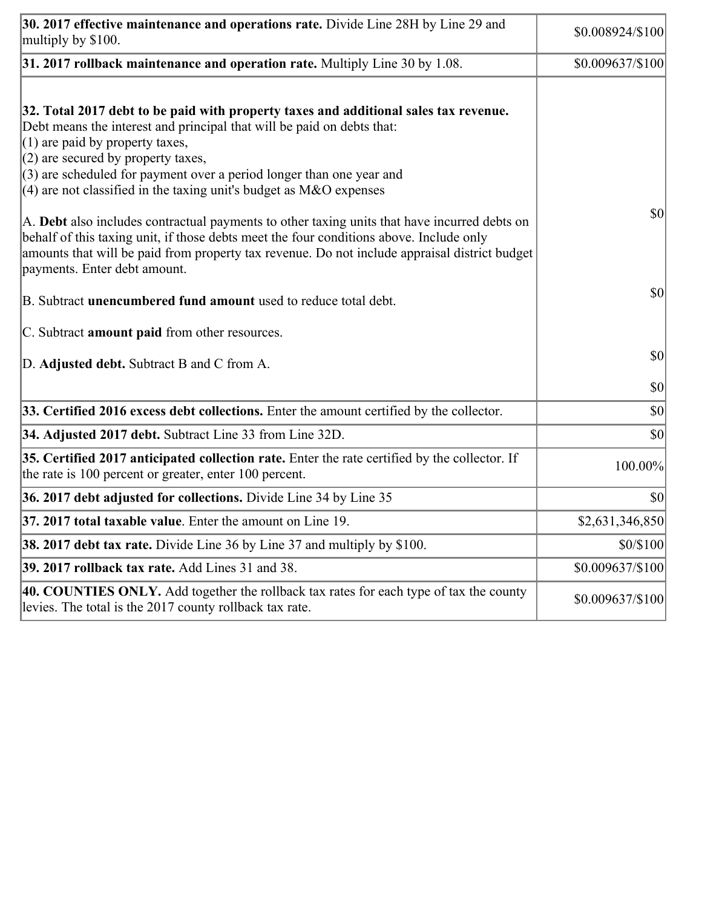| 30. 2017 effective maintenance and operations rate. Divide Line 28H by Line 29 and<br>multiply by \$100.                                                                                                                                                                                                                                                                                      | \$0.008924/\$100 |
|-----------------------------------------------------------------------------------------------------------------------------------------------------------------------------------------------------------------------------------------------------------------------------------------------------------------------------------------------------------------------------------------------|------------------|
| $31.2017$ rollback maintenance and operation rate. Multiply Line 30 by 1.08.                                                                                                                                                                                                                                                                                                                  | \$0.009637/\$100 |
| 32. Total 2017 debt to be paid with property taxes and additional sales tax revenue.<br>Debt means the interest and principal that will be paid on debts that:<br>$(1)$ are paid by property taxes,<br>$(2)$ are secured by property taxes,<br>$(3)$ are scheduled for payment over a period longer than one year and<br>$(4)$ are not classified in the taxing unit's budget as M&O expenses |                  |
| A. Debt also includes contractual payments to other taxing units that have incurred debts on<br>behalf of this taxing unit, if those debts meet the four conditions above. Include only<br>amounts that will be paid from property tax revenue. Do not include appraisal district budget<br>payments. Enter debt amount.                                                                      | \$0              |
| B. Subtract unencumbered fund amount used to reduce total debt.                                                                                                                                                                                                                                                                                                                               | \$0              |
| C. Subtract <b>amount paid</b> from other resources.                                                                                                                                                                                                                                                                                                                                          |                  |
| D. Adjusted debt. Subtract B and C from A.                                                                                                                                                                                                                                                                                                                                                    | \$0              |
|                                                                                                                                                                                                                                                                                                                                                                                               | \$0              |
| 33. Certified 2016 excess debt collections. Enter the amount certified by the collector.                                                                                                                                                                                                                                                                                                      | \$0              |
| 34. Adjusted 2017 debt. Subtract Line 33 from Line 32D.                                                                                                                                                                                                                                                                                                                                       | \$0              |
| 35. Certified 2017 anticipated collection rate. Enter the rate certified by the collector. If<br>the rate is 100 percent or greater, enter 100 percent.                                                                                                                                                                                                                                       | 100.00%          |
| 36. 2017 debt adjusted for collections. Divide Line 34 by Line 35                                                                                                                                                                                                                                                                                                                             | \$0              |
| $ 37, 2017$ total taxable value. Enter the amount on Line 19.                                                                                                                                                                                                                                                                                                                                 | \$2,631,346,850  |
| <b>38. 2017 debt tax rate.</b> Divide Line 36 by Line 37 and multiply by \$100.                                                                                                                                                                                                                                                                                                               | \$0/\$100        |
| 39. 2017 rollback tax rate. Add Lines 31 and 38.                                                                                                                                                                                                                                                                                                                                              | \$0.009637/\$100 |
| 40. COUNTIES ONLY. Add together the rollback tax rates for each type of tax the county<br>levies. The total is the 2017 county rollback tax rate.                                                                                                                                                                                                                                             | \$0.009637/\$100 |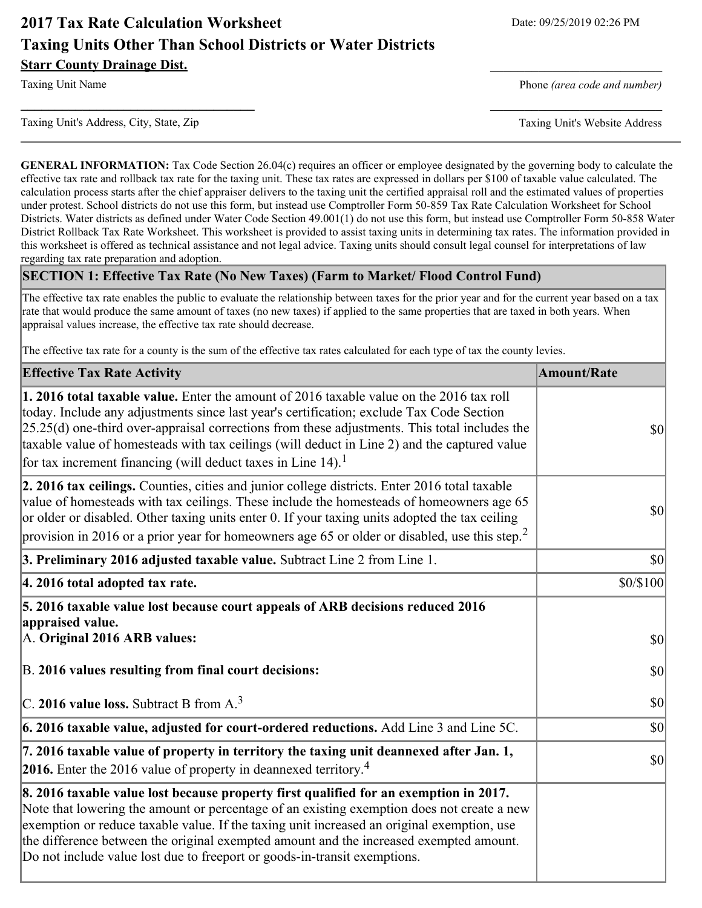## **2017 Tax Rate Calculation Worksheet** Date: 09/25/2019 02:26 PM **Taxing Units Other Than School Districts or Water Districts Starr County Drainage Dist.**

Taxing Unit Name **Phone** *(area code and number)* Phone *(area code and number)* 

Taxing Unit's Address, City, State, Zip Taxing Unit's Website Address

**GENERAL INFORMATION:** Tax Code Section 26.04(c) requires an officer or employee designated by the governing body to calculate the effective tax rate and rollback tax rate for the taxing unit. These tax rates are expressed in dollars per \$100 of taxable value calculated. The calculation process starts after the chief appraiser delivers to the taxing unit the certified appraisal roll and the estimated values of properties under protest. School districts do not use this form, but instead use Comptroller Form 50-859 Tax Rate Calculation Worksheet for School Districts. Water districts as defined under Water Code Section 49.001(1) do not use this form, but instead use Comptroller Form 50-858 Water District Rollback Tax Rate Worksheet. This worksheet is provided to assist taxing units in determining tax rates. The information provided in this worksheet is offered as technical assistance and not legal advice. Taxing units should consult legal counsel for interpretations of law regarding tax rate preparation and adoption.

**\_\_\_\_\_\_\_\_\_\_\_\_\_\_\_\_\_\_\_\_\_\_\_\_\_\_\_\_\_\_\_\_\_\_** \_\_\_\_\_\_\_\_\_\_\_\_\_\_\_\_\_\_\_\_\_\_\_\_\_

#### **SECTION 1: Effective Tax Rate (No New Taxes) (Farm to Market/ Flood Control Fund)**

The effective tax rate enables the public to evaluate the relationship between taxes for the prior year and for the current year based on a tax rate that would produce the same amount of taxes (no new taxes) if applied to the same properties that are taxed in both years. When appraisal values increase, the effective tax rate should decrease.

The effective tax rate for a county is the sum of the effective tax rates calculated for each type of tax the county levies.

| <b>Effective Tax Rate Activity</b>                                                                                                                                                                                                                                                                                                                                                                                                                                      | <b>Amount/Rate</b> |
|-------------------------------------------------------------------------------------------------------------------------------------------------------------------------------------------------------------------------------------------------------------------------------------------------------------------------------------------------------------------------------------------------------------------------------------------------------------------------|--------------------|
| 1. 2016 total taxable value. Enter the amount of 2016 taxable value on the 2016 tax roll<br>today. Include any adjustments since last year's certification; exclude Tax Code Section<br>$[25.25(d)$ one-third over-appraisal corrections from these adjustments. This total includes the<br>taxable value of homesteads with tax ceilings (will deduct in Line 2) and the captured value<br>for tax increment financing (will deduct taxes in Line $14$ ). <sup>1</sup> | \$0                |
| 2. 2016 tax ceilings. Counties, cities and junior college districts. Enter 2016 total taxable<br>value of homesteads with tax ceilings. These include the homesteads of homeowners age 65<br>or older or disabled. Other taxing units enter 0. If your taxing units adopted the tax ceiling<br>provision in 2016 or a prior year for homeowners age 65 or older or disabled, use this step. <sup>2</sup>                                                                | \$0                |
| 3. Preliminary 2016 adjusted taxable value. Subtract Line 2 from Line 1.                                                                                                                                                                                                                                                                                                                                                                                                | $ 10\rangle$       |
| 4. 2016 total adopted tax rate.                                                                                                                                                                                                                                                                                                                                                                                                                                         | \$0/\$100          |
| 5. 2016 taxable value lost because court appeals of ARB decisions reduced 2016<br>appraised value.<br>A. Original 2016 ARB values:                                                                                                                                                                                                                                                                                                                                      | \$0                |
| B. 2016 values resulting from final court decisions:                                                                                                                                                                                                                                                                                                                                                                                                                    | \$0                |
| C. 2016 value loss. Subtract B from $A3$                                                                                                                                                                                                                                                                                                                                                                                                                                | \$0                |
| $\vert$ 6. 2016 taxable value, adjusted for court-ordered reductions. Add Line 3 and Line 5C.                                                                                                                                                                                                                                                                                                                                                                           | \$0                |
| 7. 2016 taxable value of property in territory the taxing unit deannexed after Jan. 1,<br><b>2016.</b> Enter the 2016 value of property in deannexed territory. <sup>4</sup>                                                                                                                                                                                                                                                                                            | \$0                |
| 8. 2016 taxable value lost because property first qualified for an exemption in 2017.<br>Note that lowering the amount or percentage of an existing exemption does not create a new<br>exemption or reduce taxable value. If the taxing unit increased an original exemption, use<br>the difference between the original exempted amount and the increased exempted amount.<br>Do not include value lost due to freeport or goods-in-transit exemptions.                |                    |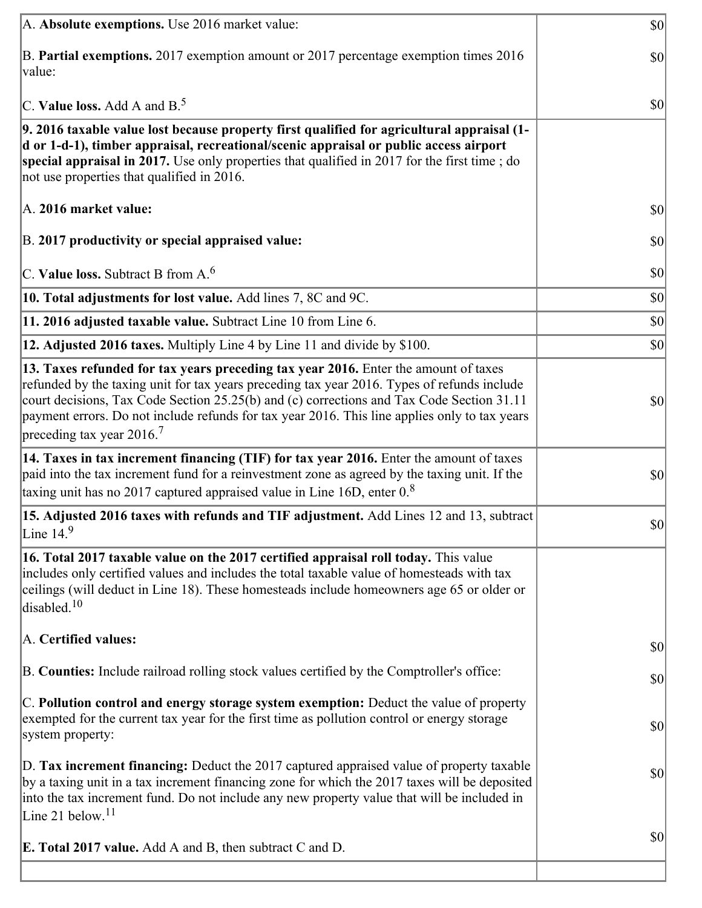| A. Absolute exemptions. Use 2016 market value:                                                                                                                                                                                                                                                                                                                                                                            | $ 10\rangle$ |
|---------------------------------------------------------------------------------------------------------------------------------------------------------------------------------------------------------------------------------------------------------------------------------------------------------------------------------------------------------------------------------------------------------------------------|--------------|
| B. Partial exemptions. 2017 exemption amount or 2017 percentage exemption times 2016<br>value:                                                                                                                                                                                                                                                                                                                            | $ 10\rangle$ |
| C. Value loss. Add A and $B^5$ .                                                                                                                                                                                                                                                                                                                                                                                          | $ 10\rangle$ |
| 9. 2016 taxable value lost because property first qualified for agricultural appraisal (1-<br>d or 1-d-1), timber appraisal, recreational/scenic appraisal or public access airport<br>special appraisal in 2017. Use only properties that qualified in 2017 for the first time; do<br>not use properties that qualified in 2016.                                                                                         |              |
| A. 2016 market value:                                                                                                                                                                                                                                                                                                                                                                                                     | $ 10\rangle$ |
| B. 2017 productivity or special appraised value:                                                                                                                                                                                                                                                                                                                                                                          | 30           |
| $ C$ . Value loss. Subtract B from A. <sup>6</sup>                                                                                                                                                                                                                                                                                                                                                                        | $ 10\rangle$ |
| 10. Total adjustments for lost value. Add lines 7, 8C and 9C.                                                                                                                                                                                                                                                                                                                                                             | $ 10\rangle$ |
| 11. 2016 adjusted taxable value. Subtract Line 10 from Line 6.                                                                                                                                                                                                                                                                                                                                                            | $ 10\rangle$ |
| 12. Adjusted 2016 taxes. Multiply Line 4 by Line 11 and divide by \$100.                                                                                                                                                                                                                                                                                                                                                  | $ 10\rangle$ |
| 13. Taxes refunded for tax years preceding tax year 2016. Enter the amount of taxes<br>refunded by the taxing unit for tax years preceding tax year 2016. Types of refunds include<br>court decisions, Tax Code Section 25.25(b) and (c) corrections and Tax Code Section 31.11<br>payment errors. Do not include refunds for tax year 2016. This line applies only to tax years<br>preceding tax year 2016. <sup>7</sup> | $ 10\rangle$ |
| 14. Taxes in tax increment financing (TIF) for tax year 2016. Enter the amount of taxes<br>paid into the tax increment fund for a reinvestment zone as agreed by the taxing unit. If the<br>taxing unit has no 2017 captured appraised value in Line 16D, enter $08$                                                                                                                                                      | $ 10\rangle$ |
| 15. Adjusted 2016 taxes with refunds and TIF adjustment. Add Lines 12 and 13, subtract<br>Line $14.9$                                                                                                                                                                                                                                                                                                                     | $ 10\rangle$ |
| 16. Total 2017 taxable value on the 2017 certified appraisal roll today. This value<br>includes only certified values and includes the total taxable value of homesteads with tax<br>ceilings (will deduct in Line 18). These homesteads include homeowners age 65 or older or<br>disabled. <sup>10</sup>                                                                                                                 |              |
| A. Certified values:                                                                                                                                                                                                                                                                                                                                                                                                      | $ 10\rangle$ |
| B. Counties: Include railroad rolling stock values certified by the Comptroller's office:                                                                                                                                                                                                                                                                                                                                 | $ 10\rangle$ |
| C. Pollution control and energy storage system exemption: Deduct the value of property<br>exempted for the current tax year for the first time as pollution control or energy storage<br>system property:                                                                                                                                                                                                                 | $ 10\rangle$ |
| D. Tax increment financing: Deduct the 2017 captured appraised value of property taxable<br>by a taxing unit in a tax increment financing zone for which the 2017 taxes will be deposited<br>into the tax increment fund. Do not include any new property value that will be included in<br>Line 21 below. $11$                                                                                                           | $ 10\rangle$ |
| <b>E. Total 2017 value.</b> Add A and B, then subtract C and D.                                                                                                                                                                                                                                                                                                                                                           | $ 10\rangle$ |
|                                                                                                                                                                                                                                                                                                                                                                                                                           |              |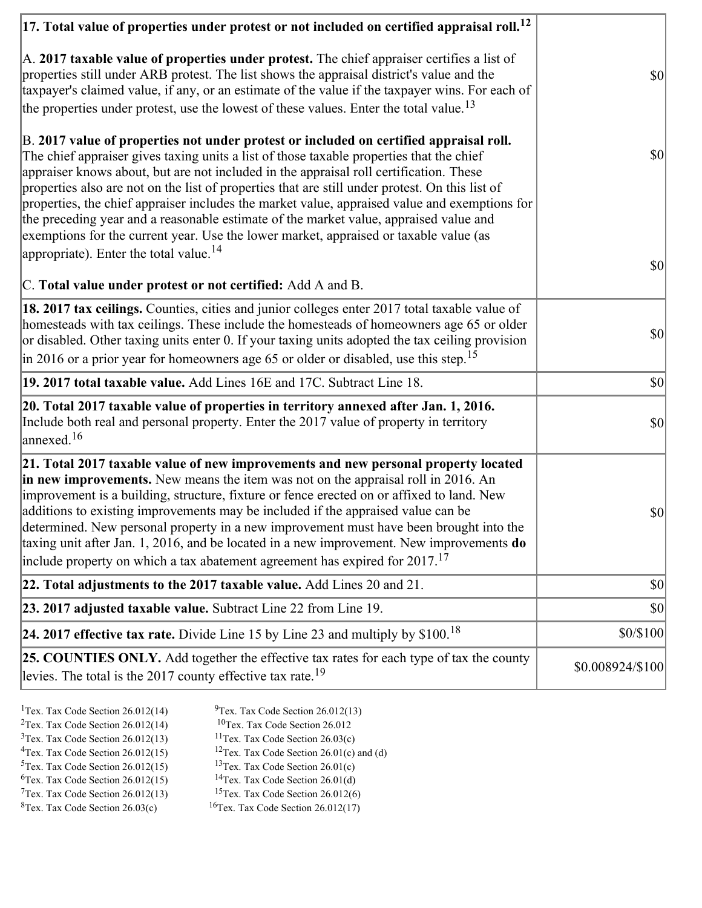| $ 17$ . Total value of properties under protest or not included on certified appraisal roll. $^{12}$                                                                                                                                                                                                                                                                                                                                                                                                                                                                                                                                                                                                                     |                  |
|--------------------------------------------------------------------------------------------------------------------------------------------------------------------------------------------------------------------------------------------------------------------------------------------------------------------------------------------------------------------------------------------------------------------------------------------------------------------------------------------------------------------------------------------------------------------------------------------------------------------------------------------------------------------------------------------------------------------------|------------------|
| A. 2017 taxable value of properties under protest. The chief appraiser certifies a list of<br>properties still under ARB protest. The list shows the appraisal district's value and the<br>taxpayer's claimed value, if any, or an estimate of the value if the taxpayer wins. For each of<br>the properties under protest, use the lowest of these values. Enter the total value. <sup>13</sup>                                                                                                                                                                                                                                                                                                                         | $ 10\rangle$     |
| B. 2017 value of properties not under protest or included on certified appraisal roll.<br>The chief appraiser gives taxing units a list of those taxable properties that the chief<br>appraiser knows about, but are not included in the appraisal roll certification. These<br>properties also are not on the list of properties that are still under protest. On this list of<br>properties, the chief appraiser includes the market value, appraised value and exemptions for<br>the preceding year and a reasonable estimate of the market value, appraised value and<br>exemptions for the current year. Use the lower market, appraised or taxable value (as<br>appropriate). Enter the total value. <sup>14</sup> | $ 10\rangle$     |
|                                                                                                                                                                                                                                                                                                                                                                                                                                                                                                                                                                                                                                                                                                                          | $ 10\rangle$     |
| C. Total value under protest or not certified: Add A and B.                                                                                                                                                                                                                                                                                                                                                                                                                                                                                                                                                                                                                                                              |                  |
| 18. 2017 tax ceilings. Counties, cities and junior colleges enter 2017 total taxable value of<br>homesteads with tax ceilings. These include the homesteads of homeowners age 65 or older<br>or disabled. Other taxing units enter 0. If your taxing units adopted the tax ceiling provision<br>in 2016 or a prior year for homeowners age 65 or older or disabled, use this step. <sup>15</sup>                                                                                                                                                                                                                                                                                                                         | $ 10\rangle$     |
| 19. 2017 total taxable value. Add Lines 16E and 17C. Subtract Line 18.                                                                                                                                                                                                                                                                                                                                                                                                                                                                                                                                                                                                                                                   | $ 10\rangle$     |
| 20. Total 2017 taxable value of properties in territory annexed after Jan. 1, 2016.<br>Include both real and personal property. Enter the 2017 value of property in territory<br>annexed. <sup>16</sup>                                                                                                                                                                                                                                                                                                                                                                                                                                                                                                                  | $ 10\rangle$     |
| 21. Total 2017 taxable value of new improvements and new personal property located<br>in new improvements. New means the item was not on the appraisal roll in 2016. An<br>improvement is a building, structure, fixture or fence erected on or affixed to land. New<br>additions to existing improvements may be included if the appraised value can be<br>determined. New personal property in a new improvement must have been brought into the<br>taxing unit after Jan. 1, 2016, and be located in a new improvement. New improvements do<br>include property on which a tax abatement agreement has expired for $2017$ . <sup>17</sup>                                                                             | $ 10\rangle$     |
| 22. Total adjustments to the 2017 taxable value. Add Lines 20 and 21.                                                                                                                                                                                                                                                                                                                                                                                                                                                                                                                                                                                                                                                    | $ 10\rangle$     |
| 23. 2017 adjusted taxable value. Subtract Line 22 from Line 19.                                                                                                                                                                                                                                                                                                                                                                                                                                                                                                                                                                                                                                                          | \$0              |
| 24. 2017 effective tax rate. Divide Line 15 by Line 23 and multiply by $$100$ . <sup>18</sup>                                                                                                                                                                                                                                                                                                                                                                                                                                                                                                                                                                                                                            | \$0/\$100        |
| 25. COUNTIES ONLY. Add together the effective tax rates for each type of tax the county<br>levies. The total is the 2017 county effective tax rate. <sup>19</sup>                                                                                                                                                                                                                                                                                                                                                                                                                                                                                                                                                        | \$0.008924/\$100 |
|                                                                                                                                                                                                                                                                                                                                                                                                                                                                                                                                                                                                                                                                                                                          |                  |

- <sup>1</sup>Tex. Tax Code Section 26.012(14) <sup>9</sup>Tex. Tax Code Section 26.012(13)
	-
- $3$ Tex. Tax Code Section 26.012(13)<br> $4$ Tex. Tax Code Section 26.012(15)
- <sup>2</sup>Tex. Tax Code Section 26.012(14) <sup>10</sup>Tex. Tax Code Section 26.012<br><sup>3</sup>Tex. Tax Code Section 26.012(13) <sup>11</sup>Tex. Tax Code Section 26.03(c)
	-
	- <sup>12</sup>Tex. Tax Code Section 26.01(c) and (d) <sup>13</sup>Tex. Tax Code Section 26.01(c)
- $5$ Tex. Tax Code Section 26.012(15)
- <sup>6</sup>Tex. Tax Code Section 26.012(15) <sup>14</sup>Tex. Tax Code Section 26.01(d)<br><sup>7</sup>Tex. Tax Code Section 26.012(13) <sup>15</sup>Tex. Tax Code Section 26.012(6)
- $7$ Tex. Tax Code Section 26.012(13)<br><sup>8</sup>Tex. Tax Code Section 26.03(c)
- 
- 
- $16$ Tex. Tax Code Section 26.012(17)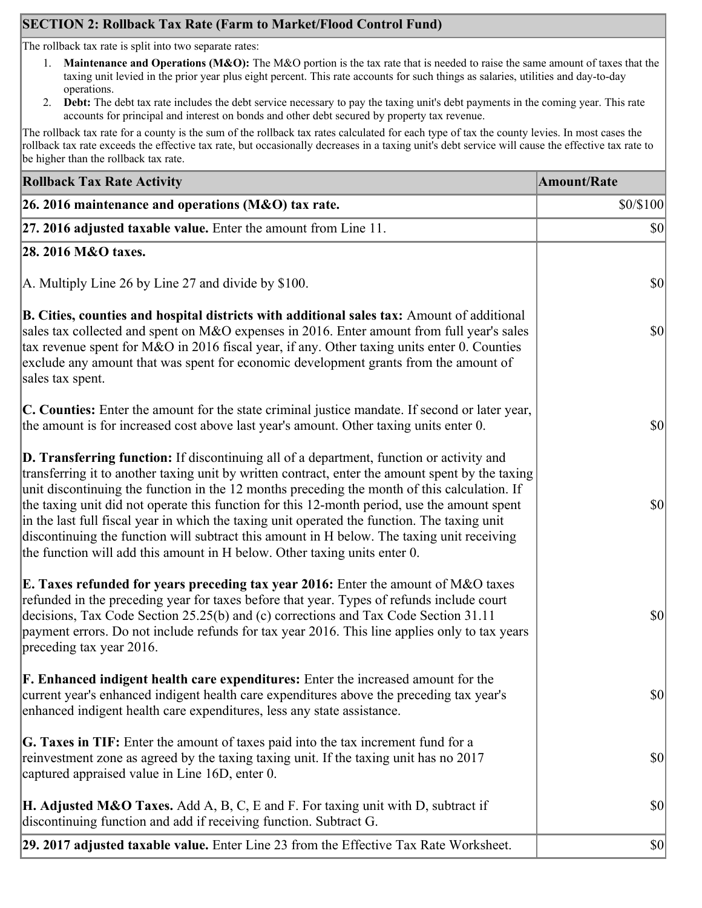## **SECTION 2: Rollback Tax Rate (Farm to Market/Flood Control Fund)**

The rollback tax rate is split into two separate rates:

- 1. **Maintenance and Operations (M&O):** The M&O portion is the tax rate that is needed to raise the same amount of taxes that the taxing unit levied in the prior year plus eight percent. This rate accounts for such things as salaries, utilities and day-to-day operations.
- 2. **Debt:** The debt tax rate includes the debt service necessary to pay the taxing unit's debt payments in the coming year. This rate accounts for principal and interest on bonds and other debt secured by property tax revenue.

The rollback tax rate for a county is the sum of the rollback tax rates calculated for each type of tax the county levies. In most cases the rollback tax rate exceeds the effective tax rate, but occasionally decreases in a taxing unit's debt service will cause the effective tax rate to be higher than the rollback tax rate.

| <b>Rollback Tax Rate Activity</b>                                                                                                                                                                                                                                                                                                                                                                                                                                                                                                                                                                                                                                       | <b>Amount/Rate</b> |
|-------------------------------------------------------------------------------------------------------------------------------------------------------------------------------------------------------------------------------------------------------------------------------------------------------------------------------------------------------------------------------------------------------------------------------------------------------------------------------------------------------------------------------------------------------------------------------------------------------------------------------------------------------------------------|--------------------|
| 26. 2016 maintenance and operations (M&O) tax rate.                                                                                                                                                                                                                                                                                                                                                                                                                                                                                                                                                                                                                     | \$0/\$100          |
| 27. 2016 adjusted taxable value. Enter the amount from Line 11.                                                                                                                                                                                                                                                                                                                                                                                                                                                                                                                                                                                                         | $ 10\rangle$       |
| 28. 2016 M&O taxes.                                                                                                                                                                                                                                                                                                                                                                                                                                                                                                                                                                                                                                                     |                    |
| A. Multiply Line 26 by Line 27 and divide by \$100.                                                                                                                                                                                                                                                                                                                                                                                                                                                                                                                                                                                                                     | $ 10\rangle$       |
| B. Cities, counties and hospital districts with additional sales tax: Amount of additional<br>sales tax collected and spent on M&O expenses in 2016. Enter amount from full year's sales<br>tax revenue spent for M&O in 2016 fiscal year, if any. Other taxing units enter 0. Counties<br>exclude any amount that was spent for economic development grants from the amount of<br>sales tax spent.                                                                                                                                                                                                                                                                     | $ 10\rangle$       |
| C. Counties: Enter the amount for the state criminal justice mandate. If second or later year,<br>the amount is for increased cost above last year's amount. Other taxing units enter 0.                                                                                                                                                                                                                                                                                                                                                                                                                                                                                | $ 10\rangle$       |
| D. Transferring function: If discontinuing all of a department, function or activity and<br>transferring it to another taxing unit by written contract, enter the amount spent by the taxing<br>unit discontinuing the function in the 12 months preceding the month of this calculation. If<br>the taxing unit did not operate this function for this 12-month period, use the amount spent<br>in the last full fiscal year in which the taxing unit operated the function. The taxing unit<br>discontinuing the function will subtract this amount in H below. The taxing unit receiving<br>the function will add this amount in H below. Other taxing units enter 0. | $ 10\rangle$       |
| E. Taxes refunded for years preceding tax year 2016: Enter the amount of M&O taxes<br>refunded in the preceding year for taxes before that year. Types of refunds include court<br>decisions, Tax Code Section 25.25(b) and (c) corrections and Tax Code Section 31.11<br>payment errors. Do not include refunds for tax year 2016. This line applies only to tax years<br>preceding tax year 2016.                                                                                                                                                                                                                                                                     | \$0                |
| <b>F. Enhanced indigent health care expenditures:</b> Enter the increased amount for the<br>current year's enhanced indigent health care expenditures above the preceding tax year's<br>enhanced indigent health care expenditures, less any state assistance.                                                                                                                                                                                                                                                                                                                                                                                                          | $ 10\rangle$       |
| <b>G. Taxes in TIF:</b> Enter the amount of taxes paid into the tax increment fund for a<br>reinvestment zone as agreed by the taxing taxing unit. If the taxing unit has no 2017<br>captured appraised value in Line 16D, enter 0.                                                                                                                                                                                                                                                                                                                                                                                                                                     | $ 10\rangle$       |
| <b>H. Adjusted M&amp;O Taxes.</b> Add A, B, C, E and F. For taxing unit with D, subtract if<br>discontinuing function and add if receiving function. Subtract G.                                                                                                                                                                                                                                                                                                                                                                                                                                                                                                        | $ 10\rangle$       |
| 29. 2017 adjusted taxable value. Enter Line 23 from the Effective Tax Rate Worksheet.                                                                                                                                                                                                                                                                                                                                                                                                                                                                                                                                                                                   | $ 10\rangle$       |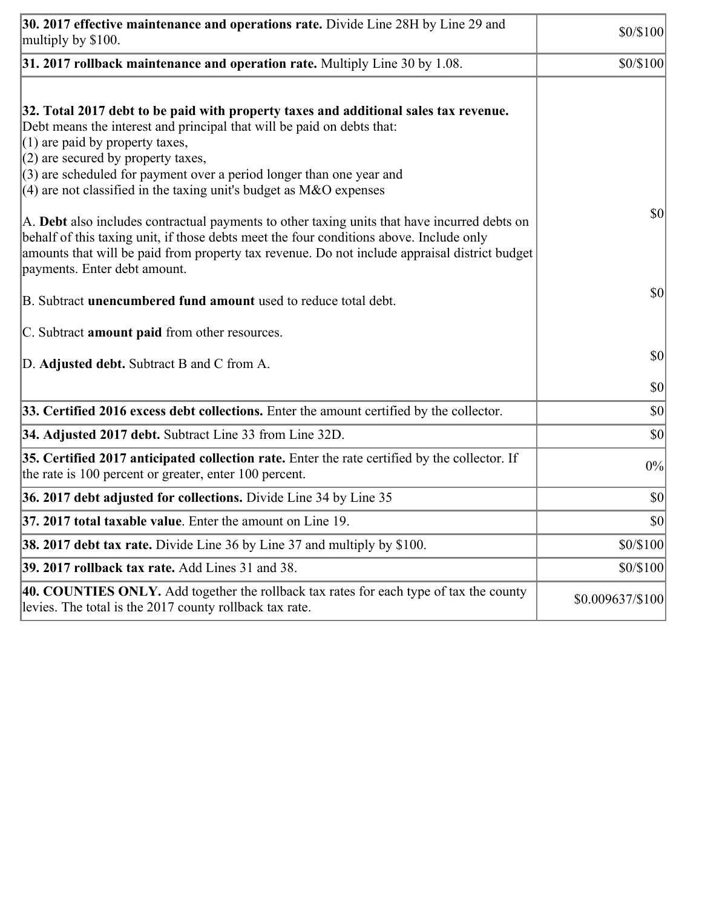| 30. 2017 effective maintenance and operations rate. Divide Line 28H by Line 29 and<br>multiply by \$100.                                                                                                                                                                                                                                                                                                                                                                                                                                                                                 | \$0/\$100        |
|------------------------------------------------------------------------------------------------------------------------------------------------------------------------------------------------------------------------------------------------------------------------------------------------------------------------------------------------------------------------------------------------------------------------------------------------------------------------------------------------------------------------------------------------------------------------------------------|------------------|
| $31.2017$ rollback maintenance and operation rate. Multiply Line 30 by 1.08.                                                                                                                                                                                                                                                                                                                                                                                                                                                                                                             | \$0/\$100        |
| 32. Total 2017 debt to be paid with property taxes and additional sales tax revenue.<br>Debt means the interest and principal that will be paid on debts that:<br>$(1)$ are paid by property taxes,<br>$(2)$ are secured by property taxes,<br>$(3)$ are scheduled for payment over a period longer than one year and<br>$(4)$ are not classified in the taxing unit's budget as M&O expenses<br>A. Debt also includes contractual payments to other taxing units that have incurred debts on<br>behalf of this taxing unit, if those debts meet the four conditions above. Include only | 30               |
| amounts that will be paid from property tax revenue. Do not include appraisal district budget<br>payments. Enter debt amount.                                                                                                                                                                                                                                                                                                                                                                                                                                                            | \$0              |
| B. Subtract unencumbered fund amount used to reduce total debt.                                                                                                                                                                                                                                                                                                                                                                                                                                                                                                                          |                  |
| C. Subtract <b>amount paid</b> from other resources.                                                                                                                                                                                                                                                                                                                                                                                                                                                                                                                                     |                  |
| D. Adjusted debt. Subtract B and C from A.                                                                                                                                                                                                                                                                                                                                                                                                                                                                                                                                               | $ 10\rangle$     |
|                                                                                                                                                                                                                                                                                                                                                                                                                                                                                                                                                                                          | \$0              |
| 33. Certified 2016 excess debt collections. Enter the amount certified by the collector.                                                                                                                                                                                                                                                                                                                                                                                                                                                                                                 | \$0              |
| 34. Adjusted 2017 debt. Subtract Line 33 from Line 32D.                                                                                                                                                                                                                                                                                                                                                                                                                                                                                                                                  | \$0              |
| 35. Certified 2017 anticipated collection rate. Enter the rate certified by the collector. If<br>the rate is 100 percent or greater, enter 100 percent.                                                                                                                                                                                                                                                                                                                                                                                                                                  | 0%               |
| 36. 2017 debt adjusted for collections. Divide Line 34 by Line 35                                                                                                                                                                                                                                                                                                                                                                                                                                                                                                                        | $ 10\rangle$     |
| 37. 2017 total taxable value. Enter the amount on Line 19                                                                                                                                                                                                                                                                                                                                                                                                                                                                                                                                | $ 10\rangle$     |
| <b>38. 2017 debt tax rate.</b> Divide Line 36 by Line 37 and multiply by \$100.                                                                                                                                                                                                                                                                                                                                                                                                                                                                                                          | \$0/\$100        |
| 39. 2017 rollback tax rate. Add Lines 31 and 38.                                                                                                                                                                                                                                                                                                                                                                                                                                                                                                                                         | \$0/\$100        |
| 40. COUNTIES ONLY. Add together the rollback tax rates for each type of tax the county<br>levies. The total is the 2017 county rollback tax rate.                                                                                                                                                                                                                                                                                                                                                                                                                                        | \$0.009637/\$100 |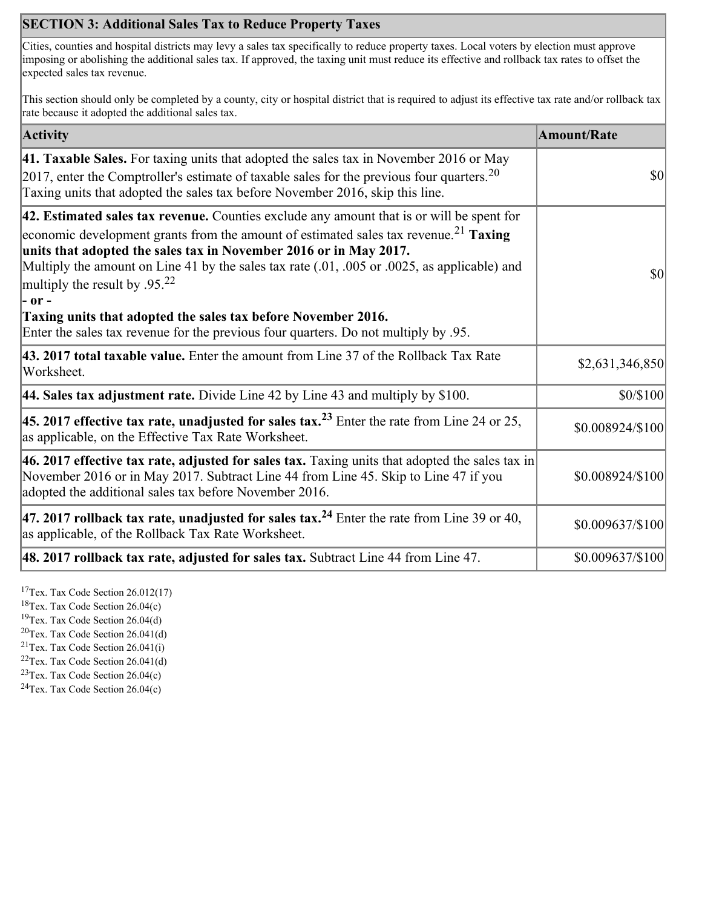## **SECTION 3: Additional Sales Tax to Reduce Property Taxes**

Cities, counties and hospital districts may levy a sales tax specifically to reduce property taxes. Local voters by election must approve imposing or abolishing the additional sales tax. If approved, the taxing unit must reduce its effective and rollback tax rates to offset the expected sales tax revenue.

This section should only be completed by a county, city or hospital district that is required to adjust its effective tax rate and/or rollback tax rate because it adopted the additional sales tax.

| <b>Activity</b>                                                                                                                                                                                                                                                                                                                                                                                                    | <b>Amount/Rate</b> |
|--------------------------------------------------------------------------------------------------------------------------------------------------------------------------------------------------------------------------------------------------------------------------------------------------------------------------------------------------------------------------------------------------------------------|--------------------|
| 41. Taxable Sales. For taxing units that adopted the sales tax in November 2016 or May<br>[2017, enter the Comptroller's estimate of taxable sales for the previous four quarters. <sup>20</sup><br>Taxing units that adopted the sales tax before November 2016, skip this line.                                                                                                                                  | \$0                |
| 42. Estimated sales tax revenue. Counties exclude any amount that is or will be spent for<br>economic development grants from the amount of estimated sales tax revenue. <sup>21</sup> Taxing<br>units that adopted the sales tax in November 2016 or in May 2017.<br>Multiply the amount on Line 41 by the sales tax rate (.01, .005 or .0025, as applicable) and<br>multiply the result by $.95^{22}$<br> - or - | \$0                |
| Taxing units that adopted the sales tax before November 2016.<br>Enter the sales tax revenue for the previous four quarters. Do not multiply by .95.                                                                                                                                                                                                                                                               |                    |
| 43. 2017 total taxable value. Enter the amount from Line 37 of the Rollback Tax Rate<br>Worksheet.                                                                                                                                                                                                                                                                                                                 | \$2,631,346,850    |
| <b>44. Sales tax adjustment rate.</b> Divide Line 42 by Line 43 and multiply by \$100.                                                                                                                                                                                                                                                                                                                             | \$0/\$100          |
| 45. 2017 effective tax rate, unadjusted for sales tax. <sup>23</sup> Enter the rate from Line 24 or 25,<br>as applicable, on the Effective Tax Rate Worksheet.                                                                                                                                                                                                                                                     | \$0.008924/\$100   |
| 46. 2017 effective tax rate, adjusted for sales tax. Taxing units that adopted the sales tax in<br>November 2016 or in May 2017. Subtract Line 44 from Line 45. Skip to Line 47 if you<br>adopted the additional sales tax before November 2016.                                                                                                                                                                   | \$0.008924/\$100   |
| 47. 2017 rollback tax rate, unadjusted for sales tax. <sup>24</sup> Enter the rate from Line 39 or 40,<br>as applicable, of the Rollback Tax Rate Worksheet.                                                                                                                                                                                                                                                       | \$0.009637/\$100   |
| $ 48.2017$ rollback tax rate, adjusted for sales tax. Subtract Line 44 from Line 47.                                                                                                                                                                                                                                                                                                                               | \$0.009637/\$100   |

<sup>17</sup>Tex. Tax Code Section  $26.012(17)$ 

<sup>18</sup>Tex. Tax Code Section 26.04(c)

<sup>19</sup>Tex. Tax Code Section 26.04(d)

 ${}^{20}$ Tex. Tax Code Section 26.041(d)

<sup>21</sup>Tex. Tax Code Section  $26.041(i)$ 

 $22$ Tex. Tax Code Section 26.041(d) <sup>23</sup>Tex. Tax Code Section 26.04(c)

 $24$ Tex. Tax Code Section 26.04(c)